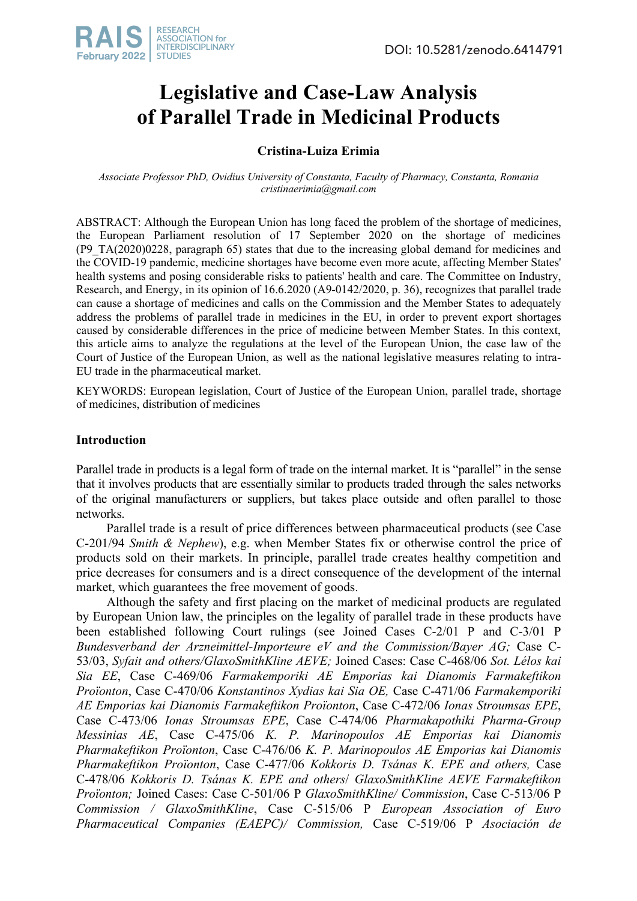

# **Legislative and Case-Law Analysis of Parallel Trade in Medicinal Products**

# **Cristina-Luiza Erimia**

*Associate Professor PhD, Ovidius University of Constanta, Faculty of Pharmacy, Constanta, Romania cristinaerimia@gmail.com*

ABSTRACT: Although the European Union has long faced the problem of the shortage of medicines, the European Parliament resolution of 17 September 2020 on the shortage of medicines (P9\_TA(2020)0228, paragraph 65) states that due to the increasing global demand for medicines and the COVID-19 pandemic, medicine shortages have become even more acute, affecting Member States' health systems and posing considerable risks to patients' health and care. The Committee on Industry, Research, and Energy, in its opinion of 16.6.2020 (A9-0142/2020, p. 36), recognizes that parallel trade can cause a shortage of medicines and calls on the Commission and the Member States to adequately address the problems of parallel trade in medicines in the EU, in order to prevent export shortages caused by considerable differences in the price of medicine between Member States. In this context, this article aims to analyze the regulations at the level of the European Union, the case law of the Court of Justice of the European Union, as well as the national legislative measures relating to intra-EU trade in the pharmaceutical market.

KEYWORDS: European legislation, Court of Justice of the European Union, parallel trade, shortage of medicines, distribution of medicines

# **Introduction**

Parallel trade in products is a legal form of trade on the internal market. It is "parallel" in the sense that it involves products that are essentially similar to products traded through the sales networks of the original manufacturers or suppliers, but takes place outside and often parallel to those networks.

Parallel trade is a result of price differences between pharmaceutical products (see Case C-201/94 *Smith & Nephew*), e.g. when Member States fix or otherwise control the price of products sold on their markets. In principle, parallel trade creates healthy competition and price decreases for consumers and is a direct consequence of the development of the internal market, which guarantees the free movement of goods.

Although the safety and first placing on the market of medicinal products are regulated by European Union law, the principles on the legality of parallel trade in these products have been established following Court rulings (see Joined Cases C-2/01 P and C-3/01 P *Bundesverband der Arzneimittel-Importeure eV and the Commission/Bayer AG;* Case C-53/03, *Syfait and others/GlaxoSmithKline AEVE;* Joined Cases: Case C‑468/06 *Sot. Lélos kai Sia EE*, Case C‑469/06 *Farmakemporiki AE Emporias kai Dianomis Farmakeftikon Proïonton*, Case C‑470/06 *Konstantinos Xydias kai Sia OE,* Case C‑471/06 *Farmakemporiki AE Emporias kai Dianomis Farmakeftikon Proïonton*, Case C‑472/06 *Ionas Stroumsas EPE*, Case C‑473/06 *Ionas Stroumsas EPE*, Case C‑474/06 *Pharmakapothiki Pharma‑Group Messinias AE*, Case C‑475/06 *K. P. Marinopoulos AE Emporias kai Dianomis Pharmakeftikon Proïonton*, Case C‑476/06 *K. P. Marinopoulos AE Emporias kai Dianomis Pharmakeftikon Proïonton*, Case C‑477/06 *Kokkoris D. Tsánas K. EPE and others,* Case C‑478/06 *Kokkoris D. Tsánas K. EPE and others*/ *GlaxoSmithKline AEVE Farmakeftikon Proïonton;* Joined Cases: Case C-501/06 P *GlaxoSmithKline/ Commission*, Case C-513/06 P *Commission / GlaxoSmithKline*, Case C-515/06 P *European Association of Euro Pharmaceutical Companies (EAEPC)/ Commission,* Case C-519/06 P *Asociación de*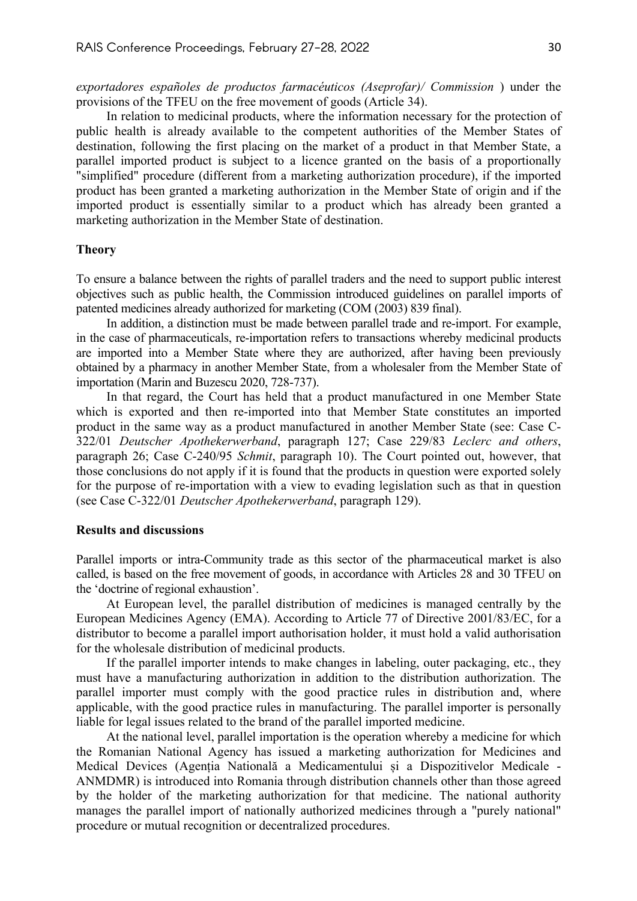*exportadores españoles de productos farmacéuticos (Aseprofar)/ Commission* ) under the provisions of the TFEU on the free movement of goods (Article 34).

In relation to medicinal products, where the information necessary for the protection of public health is already available to the competent authorities of the Member States of destination, following the first placing on the market of a product in that Member State, a parallel imported product is subject to a licence granted on the basis of a proportionally "simplified" procedure (different from a marketing authorization procedure), if the imported product has been granted a marketing authorization in the Member State of origin and if the imported product is essentially similar to a product which has already been granted a marketing authorization in the Member State of destination.

#### **Theory**

To ensure a balance between the rights of parallel traders and the need to support public interest objectives such as public health, the Commission introduced guidelines on parallel imports of patented medicines already authorized for marketing (COM (2003) 839 final).

In addition, a distinction must be made between parallel trade and re-import. For example, in the case of pharmaceuticals, re-importation refers to transactions whereby medicinal products are imported into a Member State where they are authorized, after having been previously obtained by a pharmacy in another Member State, from a wholesaler from the Member State of importation (Marin and Buzescu 2020, 728-737).

In that regard, the Court has held that a product manufactured in one Member State which is exported and then re-imported into that Member State constitutes an imported product in the same way as a product manufactured in another Member State (see: Case C-322/01 *Deutscher Apothekerwerband*, paragraph 127; Case 229/83 *Leclerc and others*, paragraph 26; Case C-240/95 *Schmit*, paragraph 10). The Court pointed out, however, that those conclusions do not apply if it is found that the products in question were exported solely for the purpose of re-importation with a view to evading legislation such as that in question (see Case C-322/01 *Deutscher Apothekerwerband*, paragraph 129).

### **Results and discussions**

Parallel imports or intra-Community trade as this sector of the pharmaceutical market is also called, is based on the free movement of goods, in accordance with Articles 28 and 30 TFEU on the 'doctrine of regional exhaustion'.

At European level, the parallel distribution of medicines is managed centrally by the European Medicines Agency (EMA). According to Article 77 of Directive 2001/83/EC, for a distributor to become a parallel import authorisation holder, it must hold a valid authorisation for the wholesale distribution of medicinal products.

If the parallel importer intends to make changes in labeling, outer packaging, etc., they must have a manufacturing authorization in addition to the distribution authorization. The parallel importer must comply with the good practice rules in distribution and, where applicable, with the good practice rules in manufacturing. The parallel importer is personally liable for legal issues related to the brand of the parallel imported medicine.

At the national level, parallel importation is the operation whereby a medicine for which the Romanian National Agency has issued a marketing authorization for Medicines and Medical Devices (Agenția Natională a Medicamentului și a Dispozitivelor Medicale - ANMDMR) is introduced into Romania through distribution channels other than those agreed by the holder of the marketing authorization for that medicine. The national authority manages the parallel import of nationally authorized medicines through a "purely national" procedure or mutual recognition or decentralized procedures.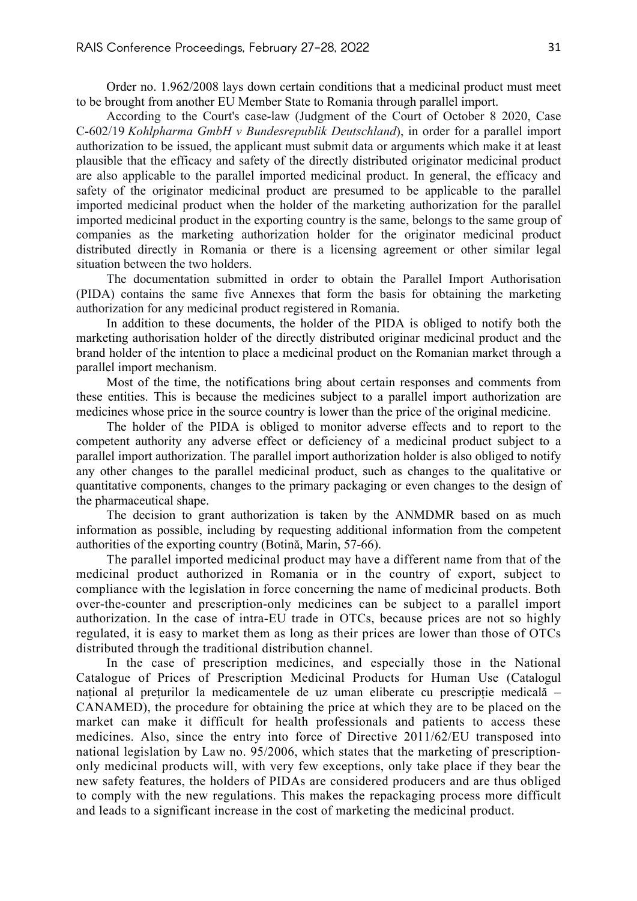Order no. 1.962/2008 lays down certain conditions that a medicinal product must meet to be brought from another EU Member State to Romania through parallel import.

According to the Court's case-law (Judgment of the Court of October 8 2020, Case C-602/19 *Kohlpharma GmbH v Bundesrepublik Deutschland*), in order for a parallel import authorization to be issued, the applicant must submit data or arguments which make it at least plausible that the efficacy and safety of the directly distributed originator medicinal product are also applicable to the parallel imported medicinal product. In general, the efficacy and safety of the originator medicinal product are presumed to be applicable to the parallel imported medicinal product when the holder of the marketing authorization for the parallel imported medicinal product in the exporting country is the same, belongs to the same group of companies as the marketing authorization holder for the originator medicinal product distributed directly in Romania or there is a licensing agreement or other similar legal situation between the two holders.

The documentation submitted in order to obtain the Parallel Import Authorisation (PIDA) contains the same five Annexes that form the basis for obtaining the marketing authorization for any medicinal product registered in Romania.

In addition to these documents, the holder of the PIDA is obliged to notify both the marketing authorisation holder of the directly distributed originar medicinal product and the brand holder of the intention to place a medicinal product on the Romanian market through a parallel import mechanism.

Most of the time, the notifications bring about certain responses and comments from these entities. This is because the medicines subject to a parallel import authorization are medicines whose price in the source country is lower than the price of the original medicine.

The holder of the PIDA is obliged to monitor adverse effects and to report to the competent authority any adverse effect or deficiency of a medicinal product subject to a parallel import authorization. The parallel import authorization holder is also obliged to notify any other changes to the parallel medicinal product, such as changes to the qualitative or quantitative components, changes to the primary packaging or even changes to the design of the pharmaceutical shape.

The decision to grant authorization is taken by the ANMDMR based on as much information as possible, including by requesting additional information from the competent authorities of the exporting country (Botină, Marin, 57-66).

The parallel imported medicinal product may have a different name from that of the medicinal product authorized in Romania or in the country of export, subject to compliance with the legislation in force concerning the name of medicinal products. Both over-the-counter and prescription-only medicines can be subject to a parallel import authorization. In the case of intra-EU trade in OTCs, because prices are not so highly regulated, it is easy to market them as long as their prices are lower than those of OTCs distributed through the traditional distribution channel.

In the case of prescription medicines, and especially those in the National Catalogue of Prices of Prescription Medicinal Products for Human Use (Catalogul național al prețurilor la medicamentele de uz uman eliberate cu prescripție medicală – CANAMED), the procedure for obtaining the price at which they are to be placed on the market can make it difficult for health professionals and patients to access these medicines. Also, since the entry into force of Directive 2011/62/EU transposed into national legislation by Law no. 95/2006, which states that the marketing of prescriptiononly medicinal products will, with very few exceptions, only take place if they bear the new safety features, the holders of PIDAs are considered producers and are thus obliged to comply with the new regulations. This makes the repackaging process more difficult and leads to a significant increase in the cost of marketing the medicinal product.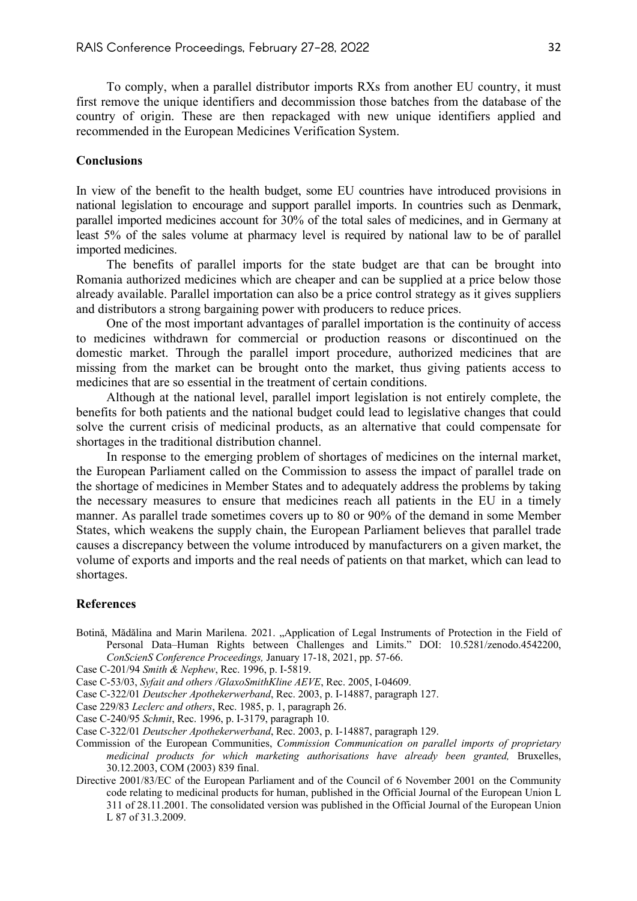To comply, when a parallel distributor imports RXs from another EU country, it must first remove the unique identifiers and decommission those batches from the database of the country of origin. These are then repackaged with new unique identifiers applied and recommended in the European Medicines Verification System.

## **Conclusions**

In view of the benefit to the health budget, some EU countries have introduced provisions in national legislation to encourage and support parallel imports. In countries such as Denmark, parallel imported medicines account for 30% of the total sales of medicines, and in Germany at least 5% of the sales volume at pharmacy level is required by national law to be of parallel imported medicines.

The benefits of parallel imports for the state budget are that can be brought into Romania authorized medicines which are cheaper and can be supplied at a price below those already available. Parallel importation can also be a price control strategy as it gives suppliers and distributors a strong bargaining power with producers to reduce prices.

One of the most important advantages of parallel importation is the continuity of access to medicines withdrawn for commercial or production reasons or discontinued on the domestic market. Through the parallel import procedure, authorized medicines that are missing from the market can be brought onto the market, thus giving patients access to medicines that are so essential in the treatment of certain conditions.

Although at the national level, parallel import legislation is not entirely complete, the benefits for both patients and the national budget could lead to legislative changes that could solve the current crisis of medicinal products, as an alternative that could compensate for shortages in the traditional distribution channel.

In response to the emerging problem of shortages of medicines on the internal market, the European Parliament called on the Commission to assess the impact of parallel trade on the shortage of medicines in Member States and to adequately address the problems by taking the necessary measures to ensure that medicines reach all patients in the EU in a timely manner. As parallel trade sometimes covers up to 80 or 90% of the demand in some Member States, which weakens the supply chain, the European Parliament believes that parallel trade causes a discrepancy between the volume introduced by manufacturers on a given market, the volume of exports and imports and the real needs of patients on that market, which can lead to shortages.

#### **References**

- Botină, Mădălina and Marin Marilena. 2021. "Application of Legal Instruments of Protection in the Field of Personal Data–Human Rights between Challenges and Limits." DOI: 10.5281/zenodo.4542200, *ConScienS Conference Proceedings,* January 17-18, 2021, pp. 57-66.
- Case C-201/94 *Smith & Nephew*, Rec. 1996, p. I-5819.
- Case C-53/03, *Syfait and others /GlaxoSmithKline AEVE*, Rec. 2005, I-04609.
- Case C-322/01 *Deutscher Apothekerwerband*, Rec. 2003, p. I-14887, paragraph 127.
- Case 229/83 *Leclerc and others*, Rec. 1985, p. 1, paragraph 26.
- Case C-240/95 *Schmit*, Rec. 1996, p. I-3179, paragraph 10.
- Case C-322/01 *Deutscher Apothekerwerband*, Rec. 2003, p. I-14887, paragraph 129.
- Commission of the European Communities, *Commission Communication on parallel imports of proprietary medicinal products for which marketing authorisations have already been granted,* Bruxelles, 30.12.2003, COM (2003) 839 final.
- Directive 2001/83/EC of the European Parliament and of the Council of 6 November 2001 on the Community code relating to medicinal products for human, published in the Official Journal of the European Union L 311 of 28.11.2001. The consolidated version was published in the Official Journal of the European Union L 87 of 31.3.2009.